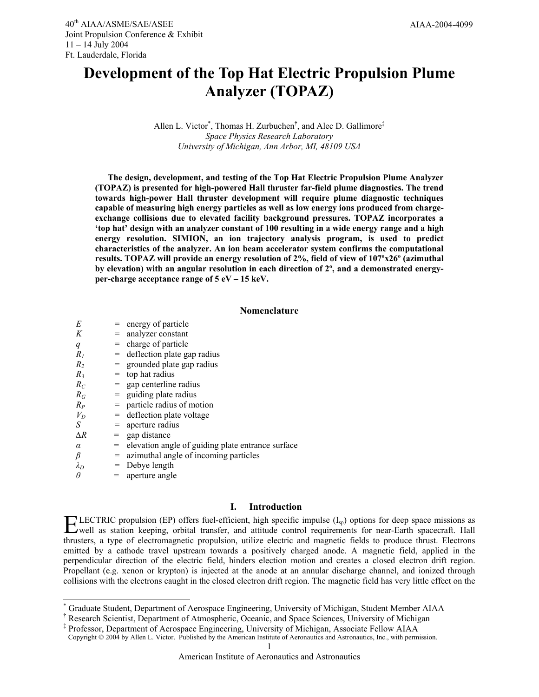# **Development of the Top Hat Electric Propulsion Plume Analyzer (TOPAZ)**

# Allen L. Victor<sup>\*</sup>, Thomas H. Zurbuchen<sup>†</sup>, and Alec D. Gallimore<sup>‡</sup> *Space Physics Research Laboratory University of Michigan, Ann Arbor, MI, 48109 USA*

**The design, development, and testing of the Top Hat Electric Propulsion Plume Analyzer (TOPAZ) is presented for high-powered Hall thruster far-field plume diagnostics. The trend towards high-power Hall thruster development will require plume diagnostic techniques capable of measuring high energy particles as well as low energy ions produced from chargeexchange collisions due to elevated facility background pressures. TOPAZ incorporates a 'top hat' design with an analyzer constant of 100 resulting in a wide energy range and a high energy resolution. SIMION, an ion trajectory analysis program, is used to predict characteristics of the analyzer. An ion beam accelerator system confirms the computational results. TOPAZ will provide an energy resolution of 2%, field of view of 107ºx26º (azimuthal by elevation) with an angular resolution in each direction of 2º, and a demonstrated energyper-charge acceptance range of 5 eV – 15 keV.** 

## **Nomenclature**

| E                | $=$ energy of particle                      |
|------------------|---------------------------------------------|
| Κ                | $=$ analyzer constant                       |
| $\boldsymbol{q}$ | $=$ charge of particle                      |
| R,               | $=$ deflection plate gap radius             |
| R,               | $=$ grounded plate gap radius               |
| $R_3$            | $=$ top hat radius                          |
| $R_C$            | $=$ gap centerline radius                   |
| $R_G$            | $=$ guiding plate radius                    |
| $R_P$            | $=$ particle radius of motion               |
| $V_D$            | $=$ deflection plate voltage                |
| S                | $=$ aperture radius                         |
| $\Delta R$       | $=$ gap distance                            |
| α                | = elevation angle of guiding plate entrance |
| β                | $=$ azimuthal angle of incoming particles   |
| $\lambda_D$      | $=$ Debye length                            |
| $\theta$         | $=$ aperture angle                          |
|                  |                                             |
|                  |                                             |

l

# **I. Introduction**

 $surface$ 

**LECTRIC** propulsion (EP) offers fuel-efficient, high specific impulse  $(I_{sp})$  options for deep space missions as well as station keeping, orbital transfer, and attitude control requirements for near-Earth spacecraft. Hall well as station keeping, orbital transfer, and attitude control requirements for near-Earth spacecraft. Hall thrusters, a type of electromagnetic propulsion, utilize electric and magnetic fields to produce thrust. Electrons emitted by a cathode travel upstream towards a positively charged anode. A magnetic field, applied in the perpendicular direction of the electric field, hinders election motion and creates a closed electron drift region. Propellant (e.g. xenon or krypton) is injected at the anode at an annular discharge channel, and ionized through collisions with the electrons caught in the closed electron drift region. The magnetic field has very little effect on the

<sup>\*</sup> Graduate Student, Department of Aerospace Engineering, University of Michigan, Student Member AIAA

<sup>†</sup> Research Scientist, Department of Atmospheric, Oceanic, and Space Sciences, University of Michigan

<sup>‡</sup> Professor, Department of Aerospace Engineering, University of Michigan, Associate Fellow AIAA Copyright © 2004 by Allen L. Victor. Published by the American Institute of Aeronautics and Astronautics, Inc., with permission.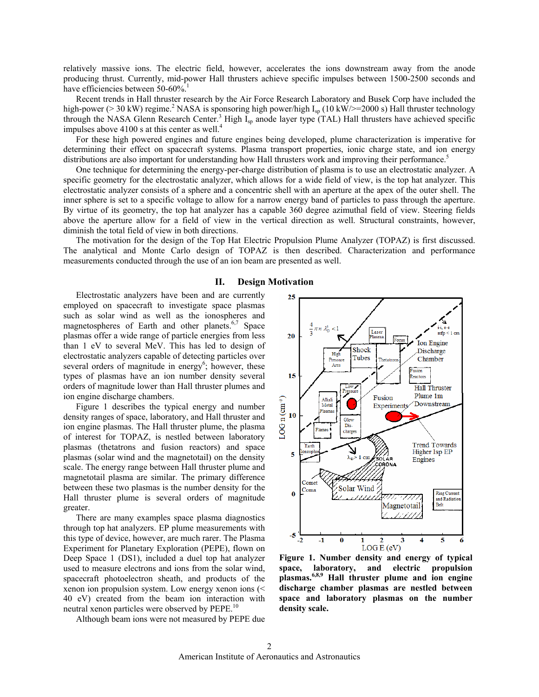relatively massive ions. The electric field, however, accelerates the ions downstream away from the anode producing thrust. Currently, mid-power Hall thrusters achieve specific impulses between 1500-2500 seconds and have efficiencies between 50-60%.<sup>1</sup>

 Recent trends in Hall thruster research by the Air Force Research Laboratory and Busek Corp have included the high-power (> 30 kW) regime.<sup>2</sup> NASA is sponsoring high power/high  $I_{sp}$  (10 kW/>=2000 s) Hall thruster technology through the NASA Glenn Research Center.<sup>3</sup> High  $I_{sp}$  anode layer type (TAL) Hall thrusters have achieved specific impulses above 4100 s at this center as well.<sup>4</sup>

 For these high powered engines and future engines being developed, plume characterization is imperative for determining their effect on spacecraft systems. Plasma transport properties, ionic charge state, and ion energy distributions are also important for understanding how Hall thrusters work and improving their performance.<sup>5</sup>

 One technique for determining the energy-per-charge distribution of plasma is to use an electrostatic analyzer. A specific geometry for the electrostatic analyzer, which allows for a wide field of view, is the top hat analyzer. This electrostatic analyzer consists of a sphere and a concentric shell with an aperture at the apex of the outer shell. The inner sphere is set to a specific voltage to allow for a narrow energy band of particles to pass through the aperture. By virtue of its geometry, the top hat analyzer has a capable 360 degree azimuthal field of view. Steering fields above the aperture allow for a field of view in the vertical direction as well. Structural constraints, however, diminish the total field of view in both directions.

 The motivation for the design of the Top Hat Electric Propulsion Plume Analyzer (TOPAZ) is first discussed. The analytical and Monte Carlo design of TOPAZ is then described. Characterization and performance measurements conducted through the use of an ion beam are presented as well.

#### **II. Design Motivation**

Electrostatic analyzers have been and are currently employed on spacecraft to investigate space plasmas such as solar wind as well as the ionospheres and magnetospheres of Earth and other planets.<sup>6,7</sup> Space plasmas offer a wide range of particle energies from less than 1 eV to several MeV. This has led to design of electrostatic analyzers capable of detecting particles over several orders of magnitude in energy<sup>6</sup>; however, these types of plasmas have an ion number density several orders of magnitude lower than Hall thruster plumes and ion engine discharge chambers.

Figure 1 describes the typical energy and number density ranges of space, laboratory, and Hall thruster and ion engine plasmas. The Hall thruster plume, the plasma of interest for TOPAZ, is nestled between laboratory plasmas (thetatrons and fusion reactors) and space plasmas (solar wind and the magnetotail) on the density scale. The energy range between Hall thruster plume and magnetotail plasma are similar. The primary difference between these two plasmas is the number density for the Hall thruster plume is several orders of magnitude greater.

There are many examples space plasma diagnostics through top hat analyzers. EP plume measurements with this type of device, however, are much rarer. The Plasma Experiment for Planetary Exploration (PEPE), flown on Deep Space 1 (DS1), included a duel top hat analyzer used to measure electrons and ions from the solar wind, spacecraft photoelectron sheath, and products of the xenon ion propulsion system. Low energy xenon ions (< 40 eV) created from the beam ion interaction with neutral xenon particles were observed by PEPE.<sup>10</sup>

Although beam ions were not measured by PEPE due



**Figure 1. Number density and energy of typical space, laboratory, and electric propulsion plasmas.6,8,9 Hall thruster plume and ion engine discharge chamber plasmas are nestled between space and laboratory plasmas on the number density scale.**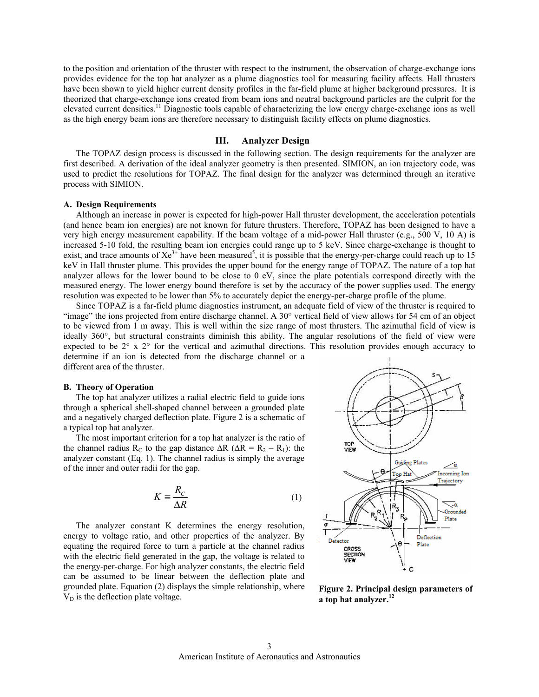to the position and orientation of the thruster with respect to the instrument, the observation of charge-exchange ions provides evidence for the top hat analyzer as a plume diagnostics tool for measuring facility affects. Hall thrusters have been shown to yield higher current density profiles in the far-field plume at higher background pressures. It is theorized that charge-exchange ions created from beam ions and neutral background particles are the culprit for the elevated current densities.11 Diagnostic tools capable of characterizing the low energy charge-exchange ions as well as the high energy beam ions are therefore necessary to distinguish facility effects on plume diagnostics.

## **III. Analyzer Design**

The TOPAZ design process is discussed in the following section. The design requirements for the analyzer are first described. A derivation of the ideal analyzer geometry is then presented. SIMION, an ion trajectory code, was used to predict the resolutions for TOPAZ. The final design for the analyzer was determined through an iterative process with SIMION.

#### **A. Design Requirements**

Although an increase in power is expected for high-power Hall thruster development, the acceleration potentials (and hence beam ion energies) are not known for future thrusters. Therefore, TOPAZ has been designed to have a very high energy measurement capability. If the beam voltage of a mid-power Hall thruster (e.g., 500 V, 10 A) is increased 5-10 fold, the resulting beam ion energies could range up to 5 keV. Since charge-exchange is thought to exist, and trace amounts of  $Xe^{3+}$  have been measured<sup>5</sup>, it is possible that the energy-per-charge could reach up to 15 keV in Hall thruster plume. This provides the upper bound for the energy range of TOPAZ. The nature of a top hat analyzer allows for the lower bound to be close to 0 eV, since the plate potentials correspond directly with the measured energy. The lower energy bound therefore is set by the accuracy of the power supplies used. The energy resolution was expected to be lower than 5% to accurately depict the energy-per-charge profile of the plume.

Since TOPAZ is a far-field plume diagnostics instrument, an adequate field of view of the thruster is required to "image" the ions projected from entire discharge channel. A 30° vertical field of view allows for 54 cm of an object to be viewed from 1 m away. This is well within the size range of most thrusters. The azimuthal field of view is ideally 360°, but structural constraints diminish this ability. The angular resolutions of the field of view were expected to be 2° x 2° for the vertical and azimuthal directions. This resolution provides enough accuracy to determine if an ion is detected from the discharge channel or a different area of the thruster.

#### **B. Theory of Operation**

The top hat analyzer utilizes a radial electric field to guide ions through a spherical shell-shaped channel between a grounded plate and a negatively charged deflection plate. Figure 2 is a schematic of a typical top hat analyzer.

The most important criterion for a top hat analyzer is the ratio of the channel radius R<sub>C</sub> to the gap distance  $\Delta R$  ( $\Delta R = R_2 - R_1$ ): the analyzer constant (Eq. 1). The channel radius is simply the average of the inner and outer radii for the gap.

$$
K \equiv \frac{R_C}{\Delta R} \tag{1}
$$

The analyzer constant K determines the energy resolution, energy to voltage ratio, and other properties of the analyzer. By equating the required force to turn a particle at the channel radius with the electric field generated in the gap, the voltage is related to the energy-per-charge. For high analyzer constants, the electric field can be assumed to be linear between the deflection plate and grounded plate. Equation (2) displays the simple relationship, where  $V_D$  is the deflection plate voltage.



**Figure 2. Principal design parameters of a top hat analyzer.<sup>12</sup>**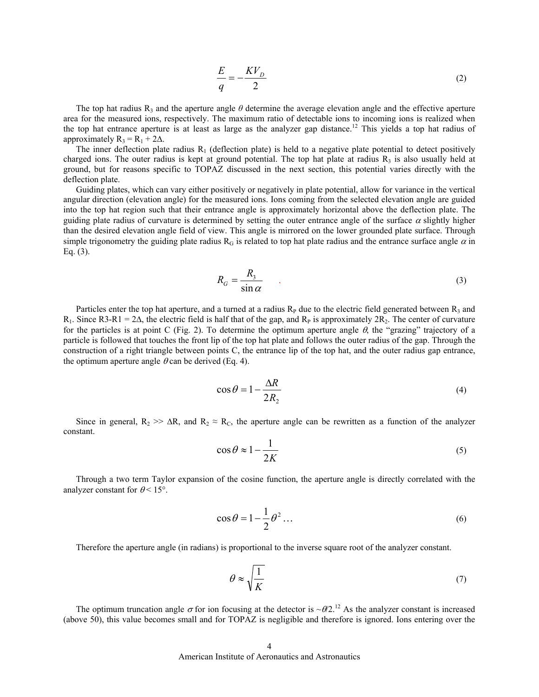$$
\frac{E}{q} = -\frac{KV_D}{2} \tag{2}
$$

The top hat radius  $R_3$  and the aperture angle  $\theta$  determine the average elevation angle and the effective aperture area for the measured ions, respectively. The maximum ratio of detectable ions to incoming ions is realized when the top hat entrance aperture is at least as large as the analyzer gap distance.<sup>12</sup> This yields a top hat radius of approximately  $R_3 = R_1 + 2\Delta$ .

The inner deflection plate radius  $R_1$  (deflection plate) is held to a negative plate potential to detect positively charged ions. The outer radius is kept at ground potential. The top hat plate at radius  $R_3$  is also usually held at ground, but for reasons specific to TOPAZ discussed in the next section, this potential varies directly with the deflection plate.

Guiding plates, which can vary either positively or negatively in plate potential, allow for variance in the vertical angular direction (elevation angle) for the measured ions. Ions coming from the selected elevation angle are guided into the top hat region such that their entrance angle is approximately horizontal above the deflection plate. The guiding plate radius of curvature is determined by setting the outer entrance angle of the surface  $\alpha$  slightly higher than the desired elevation angle field of view. This angle is mirrored on the lower grounded plate surface. Through simple trigonometry the guiding plate radius R<sub>G</sub> is related to top hat plate radius and the entrance surface angle  $\alpha$  in Eq. (3).

$$
R_G = \frac{R_3}{\sin \alpha} \tag{3}
$$

Particles enter the top hat aperture, and a turned at a radius  $R<sub>P</sub>$  due to the electric field generated between  $R<sub>3</sub>$  and R<sub>1</sub>. Since R3-R1 = 2 $\Delta$ , the electric field is half that of the gap, and R<sub>P</sub> is approximately 2R<sub>2</sub>. The center of curvature for the particles is at point C (Fig. 2). To determine the optimum aperture angle  $\theta$ , the "grazing" trajectory of a particle is followed that touches the front lip of the top hat plate and follows the outer radius of the gap. Through the construction of a right triangle between points C, the entrance lip of the top hat, and the outer radius gap entrance, the optimum aperture angle  $\theta$  can be derived (Eq. 4).

$$
\cos \theta = 1 - \frac{\Delta R}{2R_2} \tag{4}
$$

Since in general,  $R_2$  >>  $\Delta R$ , and  $R_2 \approx R_C$ , the aperture angle can be rewritten as a function of the analyzer constant.

$$
\cos \theta \approx 1 - \frac{1}{2K} \tag{5}
$$

Through a two term Taylor expansion of the cosine function, the aperture angle is directly correlated with the analyzer constant for  $\theta$  < 15°.

$$
\cos \theta = 1 - \frac{1}{2} \theta^2 \dots \tag{6}
$$

Therefore the aperture angle (in radians) is proportional to the inverse square root of the analyzer constant.

$$
\theta \approx \sqrt{\frac{1}{K}}\tag{7}
$$

The optimum truncation angle  $\sigma$  for ion focusing at the detector is ~ $\theta/2$ .<sup>12</sup> As the analyzer constant is increased (above 50), this value becomes small and for TOPAZ is negligible and therefore is ignored. Ions entering over the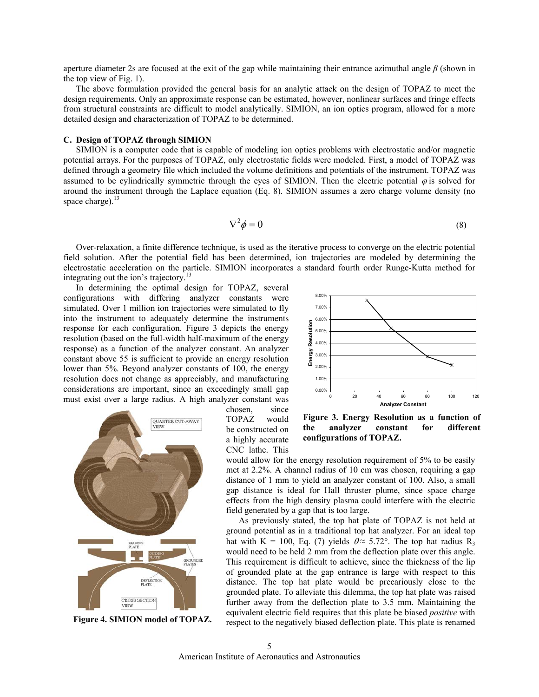aperture diameter 2s are focused at the exit of the gap while maintaining their entrance azimuthal angle *β* (shown in the top view of Fig. 1).

The above formulation provided the general basis for an analytic attack on the design of TOPAZ to meet the design requirements. Only an approximate response can be estimated, however, nonlinear surfaces and fringe effects from structural constraints are difficult to model analytically. SIMION, an ion optics program, allowed for a more detailed design and characterization of TOPAZ to be determined.

## **C. Design of TOPAZ through SIMION**

SIMION is a computer code that is capable of modeling ion optics problems with electrostatic and/or magnetic potential arrays. For the purposes of TOPAZ, only electrostatic fields were modeled. First, a model of TOPAZ was defined through a geometry file which included the volume definitions and potentials of the instrument. TOPAZ was assumed to be cylindrically symmetric through the eyes of SIMION. Then the electric potential  $\varphi$  is solved for around the instrument through the Laplace equation (Eq. 8). SIMION assumes a zero charge volume density (no space charge). $^{13}$ 

$$
\nabla^2 \phi = 0 \tag{8}
$$

Over-relaxation, a finite difference technique, is used as the iterative process to converge on the electric potential field solution. After the potential field has been determined, ion trajectories are modeled by determining the electrostatic acceleration on the particle. SIMION incorporates a standard fourth order Runge-Kutta method for integrating out the ion's trajectory.<sup>13</sup>

In determining the optimal design for TOPAZ, several configurations with differing analyzer constants were simulated. Over 1 million ion trajectories were simulated to fly into the instrument to adequately determine the instruments response for each configuration. Figure 3 depicts the energy resolution (based on the full-width half-maximum of the energy response) as a function of the analyzer constant. An analyzer constant above 55 is sufficient to provide an energy resolution lower than 5%. Beyond analyzer constants of 100, the energy resolution does not change as appreciably, and manufacturing considerations are important, since an exceedingly small gap must exist over a large radius. A high analyzer constant was



**Figure 4. SIMION model of TOPAZ.** 

chosen, since TOPAZ would be constructed on a highly accurate CNC lathe. This



**Figure 3. Energy Resolution as a function of the analyzer constant for different configurations of TOPAZ.** 

would allow for the energy resolution requirement of 5% to be easily met at 2.2%. A channel radius of 10 cm was chosen, requiring a gap distance of 1 mm to yield an analyzer constant of 100. Also, a small gap distance is ideal for Hall thruster plume, since space charge effects from the high density plasma could interfere with the electric field generated by a gap that is too large.

As previously stated, the top hat plate of TOPAZ is not held at ground potential as in a traditional top hat analyzer. For an ideal top hat with K = 100, Eq. (7) yields  $\theta \approx 5.72^{\circ}$ . The top hat radius R<sub>3</sub> would need to be held 2 mm from the deflection plate over this angle. This requirement is difficult to achieve, since the thickness of the lip of grounded plate at the gap entrance is large with respect to this distance. The top hat plate would be precariously close to the grounded plate. To alleviate this dilemma, the top hat plate was raised further away from the deflection plate to 3.5 mm. Maintaining the equivalent electric field requires that this plate be biased *positive* with respect to the negatively biased deflection plate. This plate is renamed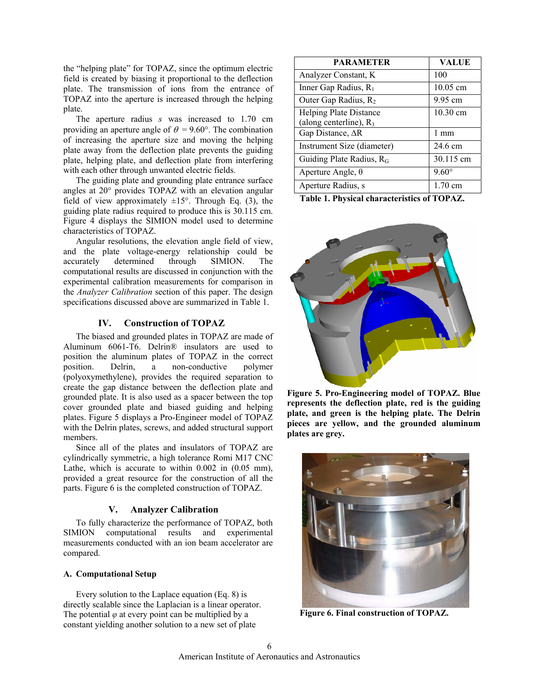the "helping plate" for TOPAZ, since the optimum electric field is created by biasing it proportional to the deflection plate. The transmission of ions from the entrance of TOPAZ into the aperture is increased through the helping plate.

The aperture radius *s* was increased to 1.70 cm providing an aperture angle of  $\theta = 9.60^{\circ}$ . The combination of increasing the aperture size and moving the helping plate away from the deflection plate prevents the guiding plate, helping plate, and deflection plate from interfering with each other through unwanted electric fields.

The guiding plate and grounding plate entrance surface angles at 20° provides TOPAZ with an elevation angular field of view approximately  $\pm 15^{\circ}$ . Through Eq. (3), the guiding plate radius required to produce this is 30.115 cm. Figure 4 displays the SIMION model used to determine characteristics of TOPAZ.

 Angular resolutions, the elevation angle field of view, and the plate voltage-energy relationship could be accurately determined through SIMION. The computational results are discussed in conjunction with the experimental calibration measurements for comparison in the *Analyzer Calibration* section of this paper. The design specifications discussed above are summarized in Table 1.

# **IV. Construction of TOPAZ**

The biased and grounded plates in TOPAZ are made of Aluminum 6061-T6. Delrin® insulators are used to position the aluminum plates of TOPAZ in the correct position. Delrin, a non-conductive polymer (polyoxymethylene), provides the required separation to create the gap distance between the deflection plate and grounded plate. It is also used as a spacer between the top cover grounded plate and biased guiding and helping plates. Figure 5 displays a Pro-Engineer model of TOPAZ with the Delrin plates, screws, and added structural support members.

Since all of the plates and insulators of TOPAZ are cylindrically symmetric, a high tolerance Romi M17 CNC Lathe, which is accurate to within 0.002 in (0.05 mm), provided a great resource for the construction of all the parts. Figure 6 is the completed construction of TOPAZ.

# **V. Analyzer Calibration**

To fully characterize the performance of TOPAZ, both SIMION computational results and experimental measurements conducted with an ion beam accelerator are compared.

# **A. Computational Setup**

 Every solution to the Laplace equation (Eq. 8) is directly scalable since the Laplacian is a linear operator. The potential  $\varphi$  at every point can be multiplied by a constant yielding another solution to a new set of plate

| <b>PARAMETER</b>                                           | <b>VALUE</b> |
|------------------------------------------------------------|--------------|
| Analyzer Constant, K                                       | 100          |
| Inner Gap Radius, R <sub>1</sub>                           | 10.05 cm     |
| Outer Gap Radius, R <sub>2</sub>                           | 9.95 cm      |
| <b>Helping Plate Distance</b><br>(along centerline), $R_3$ | 10.30 cm     |
| Gap Distance, ∆R                                           | 1 mm         |
| Instrument Size (diameter)                                 | 24.6 cm      |
| Guiding Plate Radius, R <sub>G</sub>                       | 30.115 cm    |
| Aperture Angle, $\theta$                                   | $9.60^\circ$ |
| Aperture Radius, s                                         | 1.70 cm      |

 **Table 1. Physical characteristics of TOPAZ.**



**Figure 5. Pro-Engineering model of TOPAZ. Blue represents the deflection plate, red is the guiding plate, and green is the helping plate. The Delrin pieces are yellow, and the grounded aluminum plates are grey.** 



**Figure 6. Final construction of TOPAZ.**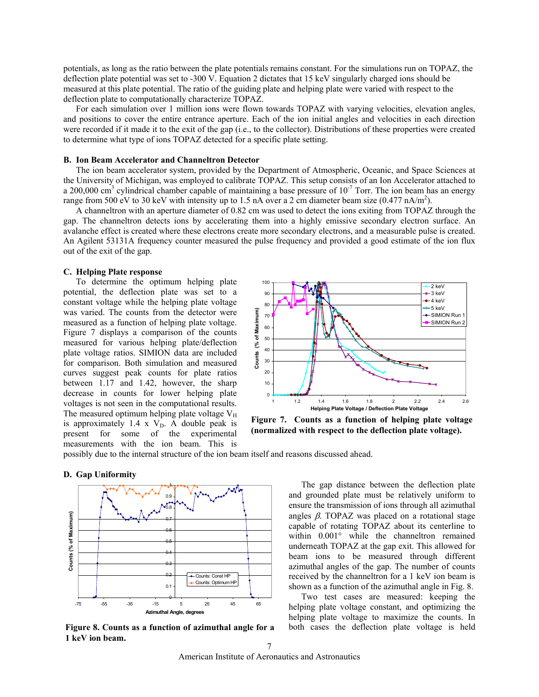potentials, as long as the ratio between the plate potentials remains constant. For the simulations run on TOPAZ, the deflection plate potential was set to -300 V. Equation 2 dictates that 15 keV singularly charged ions should be measured at this plate potential. The ratio of the guiding plate and helping plate were varied with respect to the deflection plate to computationally characterize TOPAZ.

For each simulation over 1 million ions were flown towards TOPAZ with varying velocities, elevation angles, and positions to cover the entire entrance aperture. Each of the ion initial angles and velocities in each direction were recorded if it made it to the exit of the gap (i.e., to the collector). Distributions of these properties were created to determine what type of ions TOPAZ detected for a specific plate setting.

#### **B. Ion Beam Accelerator and Channeltron Detector**

 The ion beam accelerator system, provided by the Department of Atmospheric, Oceanic, and Space Sciences at the University of Michigan, was employed to calibrate TOPAZ. This setup consists of an Ion Accelerator attached to a 200,000 cm<sup>3</sup> cylindrical chamber capable of maintaining a base pressure of  $10^{-7}$  Torr. The ion beam has an energy range from 500 eV to 30 keV with intensity up to 1.5 nA over a 2 cm diameter beam size  $(0.477 \text{ nA/m}^2)$ .

 A channeltron with an aperture diameter of 0.82 cm was used to detect the ions exiting from TOPAZ through the gap. The channeltron detects ions by accelerating them into a highly emissive secondary electron surface. An avalanche effect is created where these electrons create more secondary electrons, and a measurable pulse is created. An Agilent 53131A frequency counter measured the pulse frequency and provided a good estimate of the ion flux out of the exit of the gap.

#### **C. Helping Plate response**

 To determine the optimum helping plate potential, the deflection plate was set to a constant voltage while the helping plate voltage was varied. The counts from the detector were measured as a function of helping plate voltage. Figure 7 displays a comparison of the counts measured for various helping plate/deflection plate voltage ratios. SIMION data are included for comparison. Both simulation and measured curves suggest peak counts for plate ratios between 1.17 and 1.42, however, the sharp decrease in counts for lower helping plate voltages is not seen in the computational results. The measured optimum helping plate voltage  $V_H$ is approximately 1.4 x  $V<sub>D</sub>$ . A double peak is present for some of the experimental measurements with the ion beam. This is



**Figure 7. Counts as a function of helping plate voltage (normalized with respect to the deflection plate voltage).** 

possibly due to the internal structure of the ion beam itself and reasons discussed ahead.



**D. Gap Uniformity** 

**Figure 8. Counts as a function of azimuthal angle for a 1 keV ion beam.** 

 The gap distance between the deflection plate and grounded plate must be relatively uniform to ensure the transmission of ions through all azimuthal angles  $\beta$ . TOPAZ was placed on a rotational stage capable of rotating TOPAZ about its centerline to within 0.001° while the channeltron remained underneath TOPAZ at the gap exit. This allowed for beam ions to be measured through different azimuthal angles of the gap. The number of counts received by the channeltron for a 1 keV ion beam is shown as a function of the azimuthal angle in Fig. 8.

Two test cases are measured: keeping the helping plate voltage constant, and optimizing the helping plate voltage to maximize the counts. In both cases the deflection plate voltage is held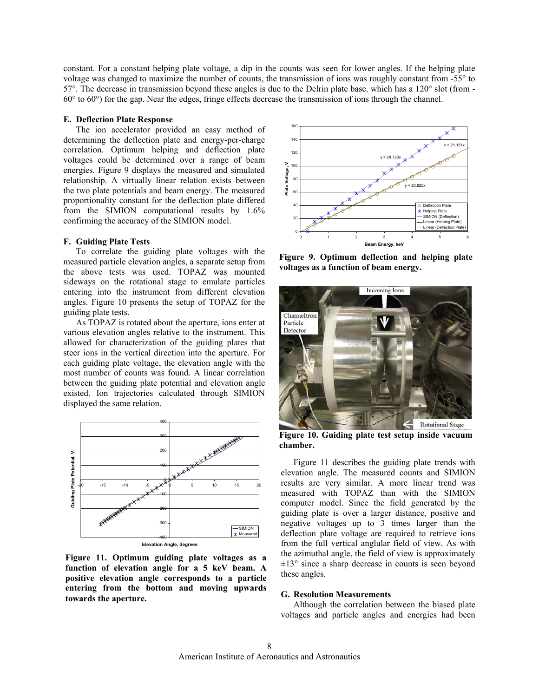constant. For a constant helping plate voltage, a dip in the counts was seen for lower angles. If the helping plate voltage was changed to maximize the number of counts, the transmission of ions was roughly constant from -55° to 57°. The decrease in transmission beyond these angles is due to the Delrin plate base, which has a 120° slot (from - 60° to 60°) for the gap. Near the edges, fringe effects decrease the transmission of ions through the channel.

#### **E. Deflection Plate Response**

The ion accelerator provided an easy method of determining the deflection plate and energy-per-charge correlation. Optimum helping and deflection plate voltages could be determined over a range of beam energies. Figure 9 displays the measured and simulated relationship. A virtually linear relation exists between the two plate potentials and beam energy. The measured proportionality constant for the deflection plate differed from the SIMION computational results by 1.6% confirming the accuracy of the SIMION model.

#### **F. Guiding Plate Tests**

To correlate the guiding plate voltages with the measured particle elevation angles, a separate setup from the above tests was used. TOPAZ was mounted sideways on the rotational stage to emulate particles entering into the instrument from different elevation angles. Figure 10 presents the setup of TOPAZ for the guiding plate tests.

As TOPAZ is rotated about the aperture, ions enter at various elevation angles relative to the instrument. This allowed for characterization of the guiding plates that steer ions in the vertical direction into the aperture. For each guiding plate voltage, the elevation angle with the most number of counts was found. A linear correlation between the guiding plate potential and elevation angle existed. Ion trajectories calculated through SIMION displayed the same relation.



**Figure 11. Optimum guiding plate voltages as a function of elevation angle for a 5 keV beam. A positive elevation angle corresponds to a particle entering from the bottom and moving upwards towards the aperture.**



**Figure 9. Optimum deflection and helping plate voltages as a function of beam energy.** 



**Figure 10. Guiding plate test setup inside vacuum chamber.** 

Figure 11 describes the guiding plate trends with elevation angle. The measured counts and SIMION results are very similar. A more linear trend was measured with TOPAZ than with the SIMION computer model. Since the field generated by the guiding plate is over a larger distance, positive and negative voltages up to 3 times larger than the deflection plate voltage are required to retrieve ions from the full vertical anglular field of view. As with the azimuthal angle, the field of view is approximately  $\pm 13^{\circ}$  since a sharp decrease in counts is seen beyond these angles.

#### **G. Resolution Measurements**

Although the correlation between the biased plate voltages and particle angles and energies had been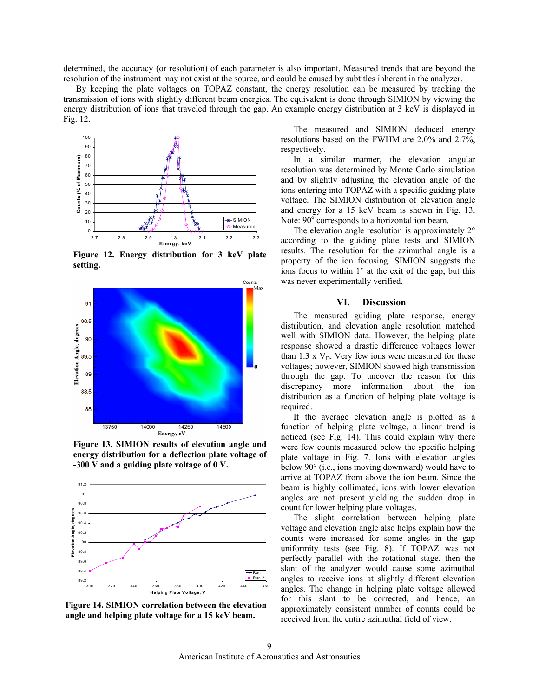determined, the accuracy (or resolution) of each parameter is also important. Measured trends that are beyond the resolution of the instrument may not exist at the source, and could be caused by subtitles inherent in the analyzer.

By keeping the plate voltages on TOPAZ constant, the energy resolution can be measured by tracking the transmission of ions with slightly different beam energies. The equivalent is done through SIMION by viewing the energy distribution of ions that traveled through the gap. An example energy distribution at 3 keV is displayed in Fig. 12.



**Figure 12. Energy distribution for 3 keV plate setting.** 



**Figure 13. SIMION results of elevation angle and energy distribution for a deflection plate voltage of -300 V and a guiding plate voltage of 0 V.** 



**Figure 14. SIMION correlation between the elevation angle and helping plate voltage for a 15 keV beam.** 

The measured and SIMION deduced energy resolutions based on the FWHM are 2.0% and 2.7%, respectively.

 In a similar manner, the elevation angular resolution was determined by Monte Carlo simulation and by slightly adjusting the elevation angle of the ions entering into TOPAZ with a specific guiding plate voltage. The SIMION distribution of elevation angle and energy for a 15 keV beam is shown in Fig. 13. Note:  $90^\circ$  corresponds to a horizontal ion beam.

 The elevation angle resolution is approximately 2° according to the guiding plate tests and SIMION results. The resolution for the azimuthal angle is a property of the ion focusing. SIMION suggests the ions focus to within  $1^\circ$  at the exit of the gap, but this was never experimentally verified.

#### **VI. Discussion**

The measured guiding plate response, energy distribution, and elevation angle resolution matched well with SIMION data. However, the helping plate response showed a drastic difference voltages lower than 1.3 x  $V<sub>D</sub>$ . Very few ions were measured for these voltages; however, SIMION showed high transmission through the gap. To uncover the reason for this discrepancy more information about the ion distribution as a function of helping plate voltage is required.

If the average elevation angle is plotted as a function of helping plate voltage, a linear trend is noticed (see Fig. 14). This could explain why there were few counts measured below the specific helping plate voltage in Fig. 7. Ions with elevation angles below 90° (i.e., ions moving downward) would have to arrive at TOPAZ from above the ion beam. Since the beam is highly collimated, ions with lower elevation angles are not present yielding the sudden drop in count for lower helping plate voltages.

The slight correlation between helping plate voltage and elevation angle also helps explain how the counts were increased for some angles in the gap uniformity tests (see Fig. 8). If TOPAZ was not perfectly parallel with the rotational stage, then the slant of the analyzer would cause some azimuthal angles to receive ions at slightly different elevation angles. The change in helping plate voltage allowed for this slant to be corrected, and hence, an approximately consistent number of counts could be received from the entire azimuthal field of view.